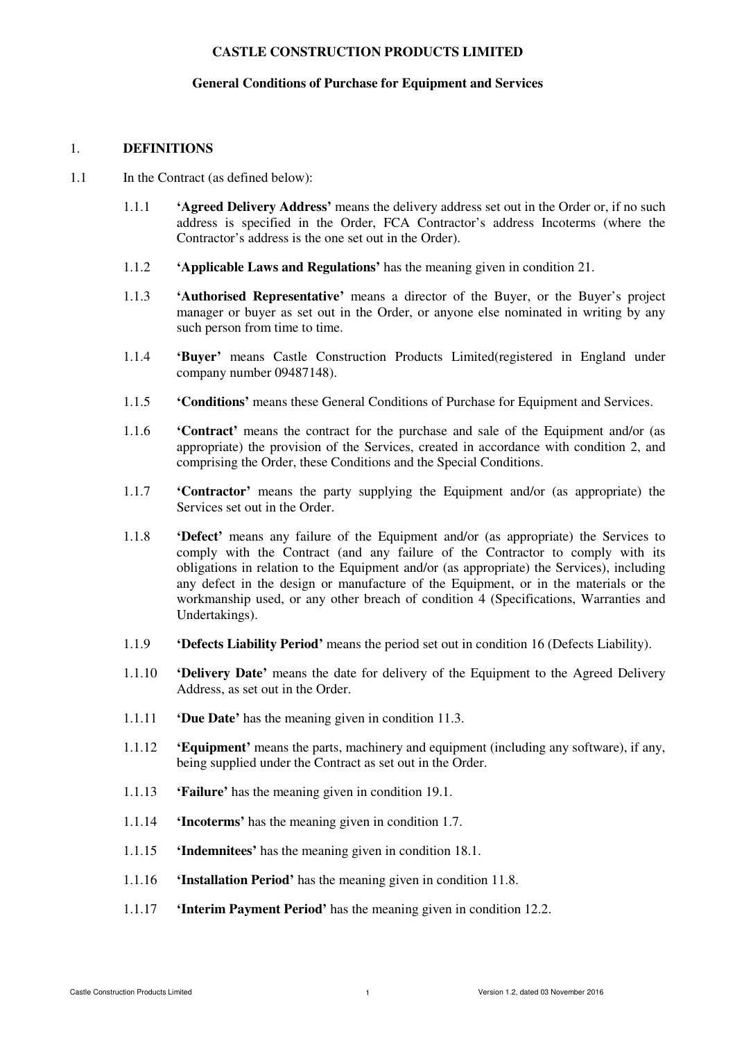## **General Conditions of Purchase for Equipment and Services**

#### 1. **DEFINITIONS**

- 1.1 In the Contract (as defined below):
	- 1.1.1 **'Agreed Delivery Address'** means the delivery address set out in the Order or, if no such address is specified in the Order, FCA Contractor's address Incoterms (where the Contractor's address is the one set out in the Order).
	- 1.1.2 **'Applicable Laws and Regulations'** has the meaning given in condition 21.
	- 1.1.3 **'Authorised Representative'** means a director of the Buyer, or the Buyer's project manager or buyer as set out in the Order, or anyone else nominated in writing by any such person from time to time.
	- 1.1.4 **'Buyer'** means Castle Construction Products Limited(registered in England under company number 09487148).
	- 1.1.5 **'Conditions'** means these General Conditions of Purchase for Equipment and Services.
	- 1.1.6 **'Contract'** means the contract for the purchase and sale of the Equipment and/or (as appropriate) the provision of the Services, created in accordance with condition 2, and comprising the Order, these Conditions and the Special Conditions.
	- 1.1.7 **'Contractor'** means the party supplying the Equipment and/or (as appropriate) the Services set out in the Order.
	- 1.1.8 **'Defect'** means any failure of the Equipment and/or (as appropriate) the Services to comply with the Contract (and any failure of the Contractor to comply with its obligations in relation to the Equipment and/or (as appropriate) the Services), including any defect in the design or manufacture of the Equipment, or in the materials or the workmanship used, or any other breach of condition 4 (Specifications, Warranties and Undertakings).
	- 1.1.9 **'Defects Liability Period'** means the period set out in condition 16 (Defects Liability).
	- 1.1.10 **'Delivery Date'** means the date for delivery of the Equipment to the Agreed Delivery Address, as set out in the Order.
	- 1.1.11 **'Due Date'** has the meaning given in condition 11.3.
	- 1.1.12 **'Equipment'** means the parts, machinery and equipment (including any software), if any, being supplied under the Contract as set out in the Order.
	- 1.1.13 **'Failure'** has the meaning given in condition 19.1.
	- 1.1.14 **'Incoterms'** has the meaning given in condition 1.7.
	- 1.1.15 **'Indemnitees'** has the meaning given in condition 18.1.
	- 1.1.16 **'Installation Period'** has the meaning given in condition 11.8.
	- 1.1.17 **'Interim Payment Period'** has the meaning given in condition 12.2.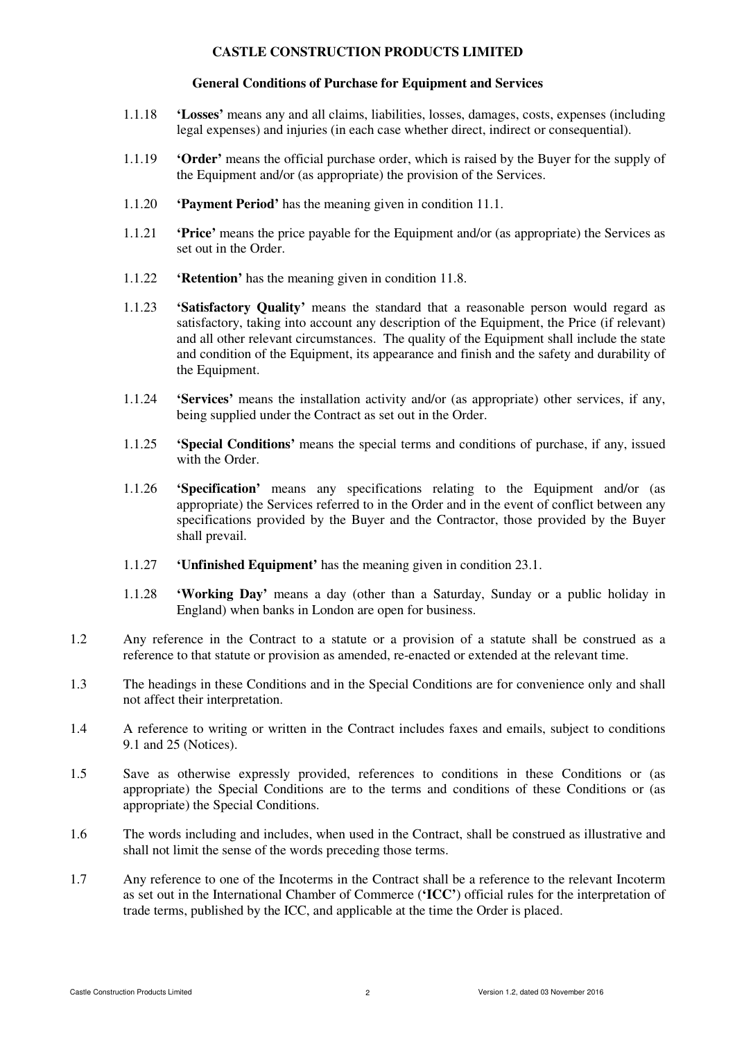#### **General Conditions of Purchase for Equipment and Services**

- 1.1.18 **'Losses'** means any and all claims, liabilities, losses, damages, costs, expenses (including legal expenses) and injuries (in each case whether direct, indirect or consequential).
- 1.1.19 **'Order'** means the official purchase order, which is raised by the Buyer for the supply of the Equipment and/or (as appropriate) the provision of the Services.
- 1.1.20 **'Payment Period'** has the meaning given in condition 11.1.
- 1.1.21 **'Price'** means the price payable for the Equipment and/or (as appropriate) the Services as set out in the Order.
- 1.1.22 **'Retention'** has the meaning given in condition 11.8.
- 1.1.23 **'Satisfactory Quality'** means the standard that a reasonable person would regard as satisfactory, taking into account any description of the Equipment, the Price (if relevant) and all other relevant circumstances. The quality of the Equipment shall include the state and condition of the Equipment, its appearance and finish and the safety and durability of the Equipment.
- 1.1.24 **'Services'** means the installation activity and/or (as appropriate) other services, if any, being supplied under the Contract as set out in the Order.
- 1.1.25 **'Special Conditions'** means the special terms and conditions of purchase, if any, issued with the Order.
- 1.1.26 **'Specification'** means any specifications relating to the Equipment and/or (as appropriate) the Services referred to in the Order and in the event of conflict between any specifications provided by the Buyer and the Contractor, those provided by the Buyer shall prevail.
- 1.1.27 **'Unfinished Equipment'** has the meaning given in condition 23.1.
- 1.1.28 **'Working Day'** means a day (other than a Saturday, Sunday or a public holiday in England) when banks in London are open for business.
- 1.2 Any reference in the Contract to a statute or a provision of a statute shall be construed as a reference to that statute or provision as amended, re-enacted or extended at the relevant time.
- 1.3 The headings in these Conditions and in the Special Conditions are for convenience only and shall not affect their interpretation.
- 1.4 A reference to writing or written in the Contract includes faxes and emails, subject to conditions 9.1 and 25 (Notices).
- 1.5 Save as otherwise expressly provided, references to conditions in these Conditions or (as appropriate) the Special Conditions are to the terms and conditions of these Conditions or (as appropriate) the Special Conditions.
- 1.6 The words including and includes, when used in the Contract, shall be construed as illustrative and shall not limit the sense of the words preceding those terms.
- 1.7 Any reference to one of the Incoterms in the Contract shall be a reference to the relevant Incoterm as set out in the International Chamber of Commerce (**'ICC'**) official rules for the interpretation of trade terms, published by the ICC, and applicable at the time the Order is placed.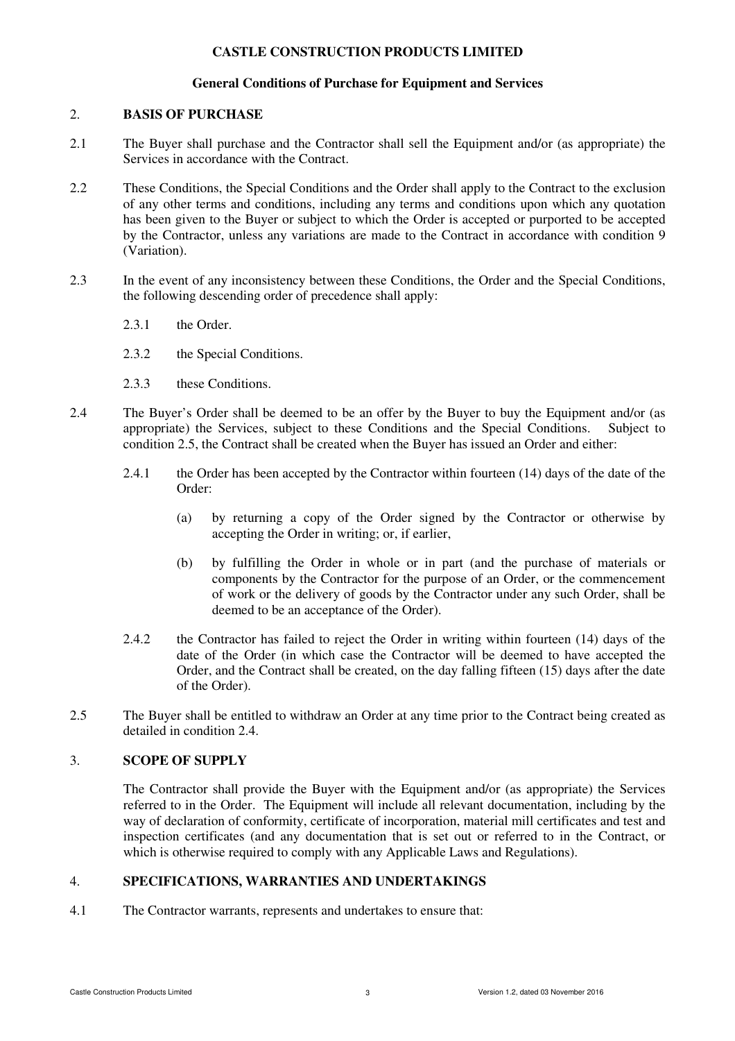# **General Conditions of Purchase for Equipment and Services**

### 2. **BASIS OF PURCHASE**

- 2.1 The Buyer shall purchase and the Contractor shall sell the Equipment and/or (as appropriate) the Services in accordance with the Contract.
- 2.2 These Conditions, the Special Conditions and the Order shall apply to the Contract to the exclusion of any other terms and conditions, including any terms and conditions upon which any quotation has been given to the Buyer or subject to which the Order is accepted or purported to be accepted by the Contractor, unless any variations are made to the Contract in accordance with condition 9 (Variation).
- 2.3 In the event of any inconsistency between these Conditions, the Order and the Special Conditions, the following descending order of precedence shall apply:
	- 2.3.1 the Order.
	- 2.3.2 the Special Conditions.
	- 2.3.3 these Conditions.
- 2.4 The Buyer's Order shall be deemed to be an offer by the Buyer to buy the Equipment and/or (as appropriate) the Services, subject to these Conditions and the Special Conditions. Subject to condition 2.5, the Contract shall be created when the Buyer has issued an Order and either:
	- 2.4.1 the Order has been accepted by the Contractor within fourteen (14) days of the date of the Order:
		- (a) by returning a copy of the Order signed by the Contractor or otherwise by accepting the Order in writing; or, if earlier,
		- (b) by fulfilling the Order in whole or in part (and the purchase of materials or components by the Contractor for the purpose of an Order, or the commencement of work or the delivery of goods by the Contractor under any such Order, shall be deemed to be an acceptance of the Order).
	- 2.4.2 the Contractor has failed to reject the Order in writing within fourteen (14) days of the date of the Order (in which case the Contractor will be deemed to have accepted the Order, and the Contract shall be created, on the day falling fifteen (15) days after the date of the Order).
- 2.5 The Buyer shall be entitled to withdraw an Order at any time prior to the Contract being created as detailed in condition 2.4.

## 3. **SCOPE OF SUPPLY**

The Contractor shall provide the Buyer with the Equipment and/or (as appropriate) the Services referred to in the Order. The Equipment will include all relevant documentation, including by the way of declaration of conformity, certificate of incorporation, material mill certificates and test and inspection certificates (and any documentation that is set out or referred to in the Contract, or which is otherwise required to comply with any Applicable Laws and Regulations).

# 4. **SPECIFICATIONS, WARRANTIES AND UNDERTAKINGS**

4.1 The Contractor warrants, represents and undertakes to ensure that: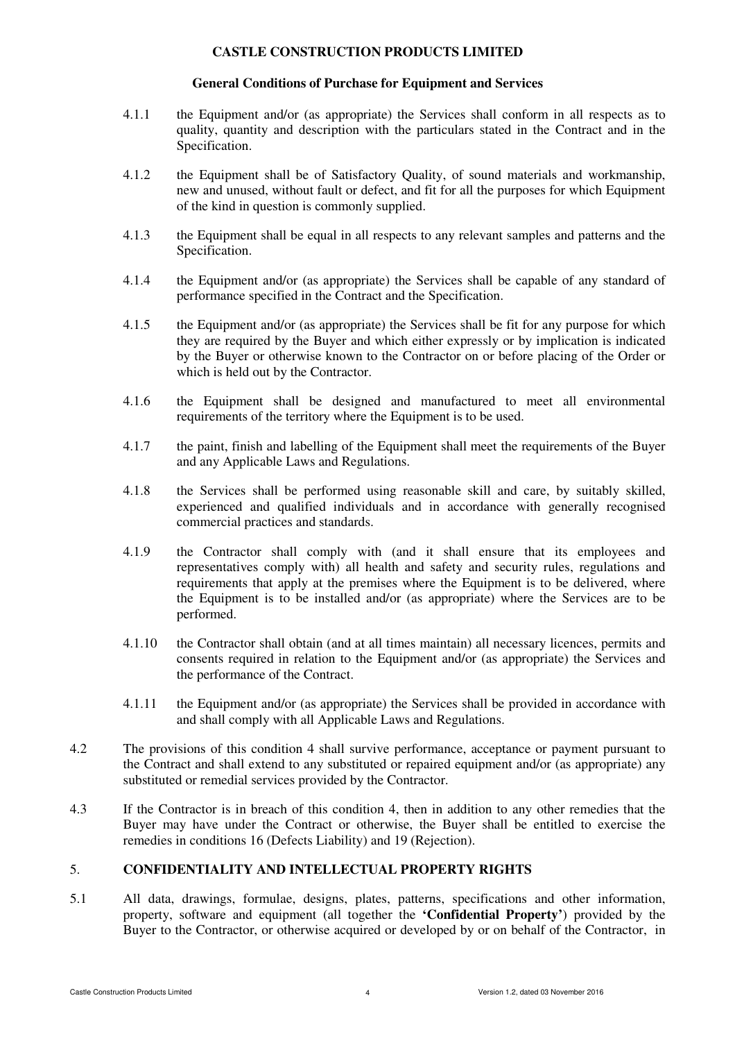### **General Conditions of Purchase for Equipment and Services**

- 4.1.1 the Equipment and/or (as appropriate) the Services shall conform in all respects as to quality, quantity and description with the particulars stated in the Contract and in the Specification.
- 4.1.2 the Equipment shall be of Satisfactory Quality, of sound materials and workmanship, new and unused, without fault or defect, and fit for all the purposes for which Equipment of the kind in question is commonly supplied.
- 4.1.3 the Equipment shall be equal in all respects to any relevant samples and patterns and the Specification.
- 4.1.4 the Equipment and/or (as appropriate) the Services shall be capable of any standard of performance specified in the Contract and the Specification.
- 4.1.5 the Equipment and/or (as appropriate) the Services shall be fit for any purpose for which they are required by the Buyer and which either expressly or by implication is indicated by the Buyer or otherwise known to the Contractor on or before placing of the Order or which is held out by the Contractor.
- 4.1.6 the Equipment shall be designed and manufactured to meet all environmental requirements of the territory where the Equipment is to be used.
- 4.1.7 the paint, finish and labelling of the Equipment shall meet the requirements of the Buyer and any Applicable Laws and Regulations.
- 4.1.8 the Services shall be performed using reasonable skill and care, by suitably skilled, experienced and qualified individuals and in accordance with generally recognised commercial practices and standards.
- 4.1.9 the Contractor shall comply with (and it shall ensure that its employees and representatives comply with) all health and safety and security rules, regulations and requirements that apply at the premises where the Equipment is to be delivered, where the Equipment is to be installed and/or (as appropriate) where the Services are to be performed.
- 4.1.10 the Contractor shall obtain (and at all times maintain) all necessary licences, permits and consents required in relation to the Equipment and/or (as appropriate) the Services and the performance of the Contract.
- 4.1.11 the Equipment and/or (as appropriate) the Services shall be provided in accordance with and shall comply with all Applicable Laws and Regulations.
- 4.2 The provisions of this condition 4 shall survive performance, acceptance or payment pursuant to the Contract and shall extend to any substituted or repaired equipment and/or (as appropriate) any substituted or remedial services provided by the Contractor.
- 4.3 If the Contractor is in breach of this condition 4, then in addition to any other remedies that the Buyer may have under the Contract or otherwise, the Buyer shall be entitled to exercise the remedies in conditions 16 (Defects Liability) and 19 (Rejection).

## 5. **CONFIDENTIALITY AND INTELLECTUAL PROPERTY RIGHTS**

5.1 All data, drawings, formulae, designs, plates, patterns, specifications and other information, property, software and equipment (all together the **'Confidential Property'**) provided by the Buyer to the Contractor, or otherwise acquired or developed by or on behalf of the Contractor, in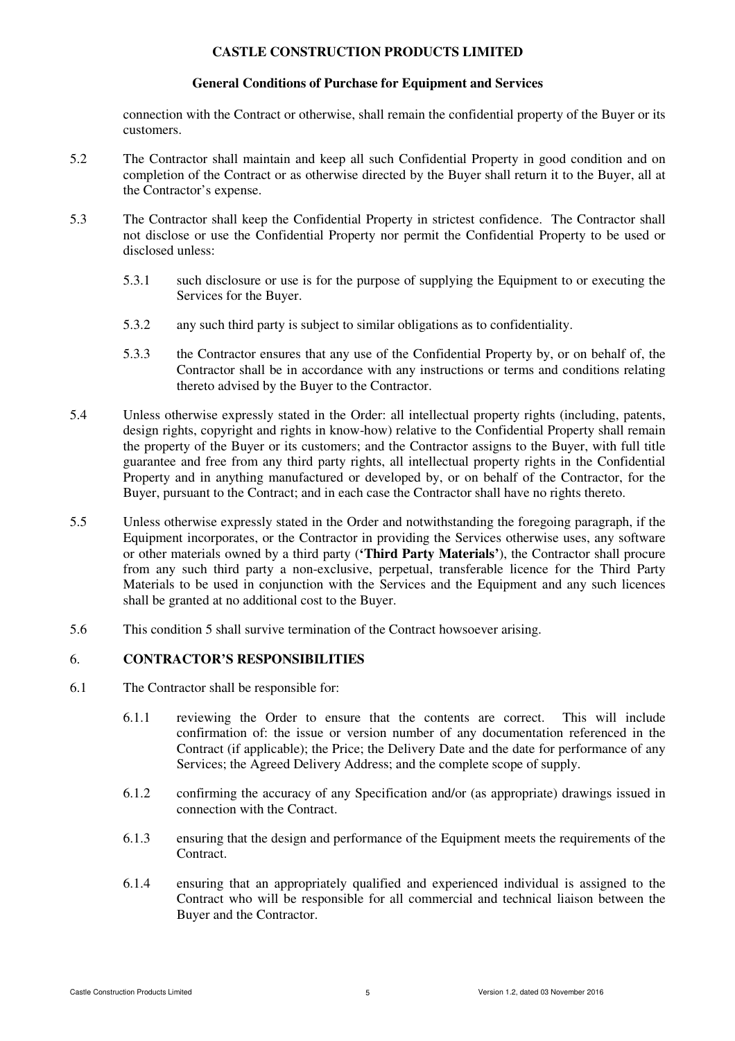## **General Conditions of Purchase for Equipment and Services**

connection with the Contract or otherwise, shall remain the confidential property of the Buyer or its customers.

- 5.2 The Contractor shall maintain and keep all such Confidential Property in good condition and on completion of the Contract or as otherwise directed by the Buyer shall return it to the Buyer, all at the Contractor's expense.
- 5.3 The Contractor shall keep the Confidential Property in strictest confidence. The Contractor shall not disclose or use the Confidential Property nor permit the Confidential Property to be used or disclosed unless:
	- 5.3.1 such disclosure or use is for the purpose of supplying the Equipment to or executing the Services for the Buyer.
	- 5.3.2 any such third party is subject to similar obligations as to confidentiality.
	- 5.3.3 the Contractor ensures that any use of the Confidential Property by, or on behalf of, the Contractor shall be in accordance with any instructions or terms and conditions relating thereto advised by the Buyer to the Contractor.
- 5.4 Unless otherwise expressly stated in the Order: all intellectual property rights (including, patents, design rights, copyright and rights in know-how) relative to the Confidential Property shall remain the property of the Buyer or its customers; and the Contractor assigns to the Buyer, with full title guarantee and free from any third party rights, all intellectual property rights in the Confidential Property and in anything manufactured or developed by, or on behalf of the Contractor, for the Buyer, pursuant to the Contract; and in each case the Contractor shall have no rights thereto.
- 5.5 Unless otherwise expressly stated in the Order and notwithstanding the foregoing paragraph, if the Equipment incorporates, or the Contractor in providing the Services otherwise uses, any software or other materials owned by a third party (**'Third Party Materials'**), the Contractor shall procure from any such third party a non-exclusive, perpetual, transferable licence for the Third Party Materials to be used in conjunction with the Services and the Equipment and any such licences shall be granted at no additional cost to the Buyer.
- 5.6 This condition 5 shall survive termination of the Contract howsoever arising.

# 6. **CONTRACTOR'S RESPONSIBILITIES**

- 6.1 The Contractor shall be responsible for:
	- 6.1.1 reviewing the Order to ensure that the contents are correct. This will include confirmation of: the issue or version number of any documentation referenced in the Contract (if applicable); the Price; the Delivery Date and the date for performance of any Services; the Agreed Delivery Address; and the complete scope of supply.
	- 6.1.2 confirming the accuracy of any Specification and/or (as appropriate) drawings issued in connection with the Contract.
	- 6.1.3 ensuring that the design and performance of the Equipment meets the requirements of the Contract.
	- 6.1.4 ensuring that an appropriately qualified and experienced individual is assigned to the Contract who will be responsible for all commercial and technical liaison between the Buyer and the Contractor.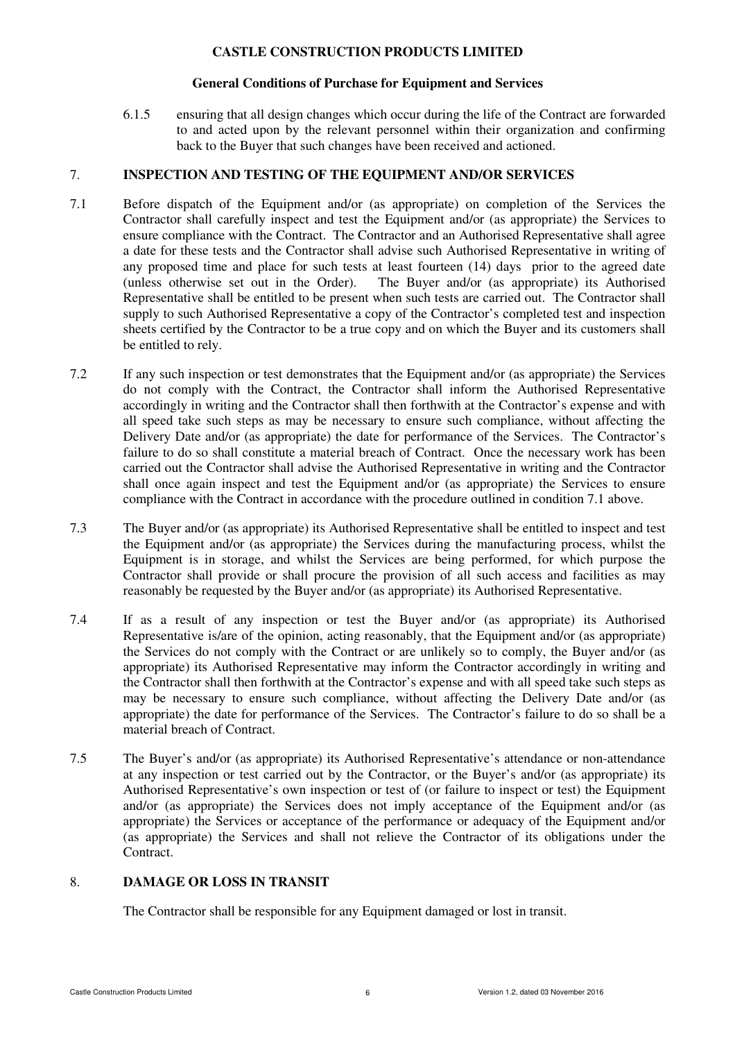## **General Conditions of Purchase for Equipment and Services**

6.1.5 ensuring that all design changes which occur during the life of the Contract are forwarded to and acted upon by the relevant personnel within their organization and confirming back to the Buyer that such changes have been received and actioned.

# 7. **INSPECTION AND TESTING OF THE EQUIPMENT AND/OR SERVICES**

- 7.1 Before dispatch of the Equipment and/or (as appropriate) on completion of the Services the Contractor shall carefully inspect and test the Equipment and/or (as appropriate) the Services to ensure compliance with the Contract. The Contractor and an Authorised Representative shall agree a date for these tests and the Contractor shall advise such Authorised Representative in writing of any proposed time and place for such tests at least fourteen (14) days prior to the agreed date (unless otherwise set out in the Order). The Buyer and/or (as appropriate) its Authorised Representative shall be entitled to be present when such tests are carried out. The Contractor shall supply to such Authorised Representative a copy of the Contractor's completed test and inspection sheets certified by the Contractor to be a true copy and on which the Buyer and its customers shall be entitled to rely.
- 7.2 If any such inspection or test demonstrates that the Equipment and/or (as appropriate) the Services do not comply with the Contract, the Contractor shall inform the Authorised Representative accordingly in writing and the Contractor shall then forthwith at the Contractor's expense and with all speed take such steps as may be necessary to ensure such compliance, without affecting the Delivery Date and/or (as appropriate) the date for performance of the Services. The Contractor's failure to do so shall constitute a material breach of Contract. Once the necessary work has been carried out the Contractor shall advise the Authorised Representative in writing and the Contractor shall once again inspect and test the Equipment and/or (as appropriate) the Services to ensure compliance with the Contract in accordance with the procedure outlined in condition 7.1 above.
- 7.3 The Buyer and/or (as appropriate) its Authorised Representative shall be entitled to inspect and test the Equipment and/or (as appropriate) the Services during the manufacturing process, whilst the Equipment is in storage, and whilst the Services are being performed, for which purpose the Contractor shall provide or shall procure the provision of all such access and facilities as may reasonably be requested by the Buyer and/or (as appropriate) its Authorised Representative.
- 7.4 If as a result of any inspection or test the Buyer and/or (as appropriate) its Authorised Representative is/are of the opinion, acting reasonably, that the Equipment and/or (as appropriate) the Services do not comply with the Contract or are unlikely so to comply, the Buyer and/or (as appropriate) its Authorised Representative may inform the Contractor accordingly in writing and the Contractor shall then forthwith at the Contractor's expense and with all speed take such steps as may be necessary to ensure such compliance, without affecting the Delivery Date and/or (as appropriate) the date for performance of the Services. The Contractor's failure to do so shall be a material breach of Contract.
- 7.5 The Buyer's and/or (as appropriate) its Authorised Representative's attendance or non-attendance at any inspection or test carried out by the Contractor, or the Buyer's and/or (as appropriate) its Authorised Representative's own inspection or test of (or failure to inspect or test) the Equipment and/or (as appropriate) the Services does not imply acceptance of the Equipment and/or (as appropriate) the Services or acceptance of the performance or adequacy of the Equipment and/or (as appropriate) the Services and shall not relieve the Contractor of its obligations under the Contract.

# 8. **DAMAGE OR LOSS IN TRANSIT**

The Contractor shall be responsible for any Equipment damaged or lost in transit.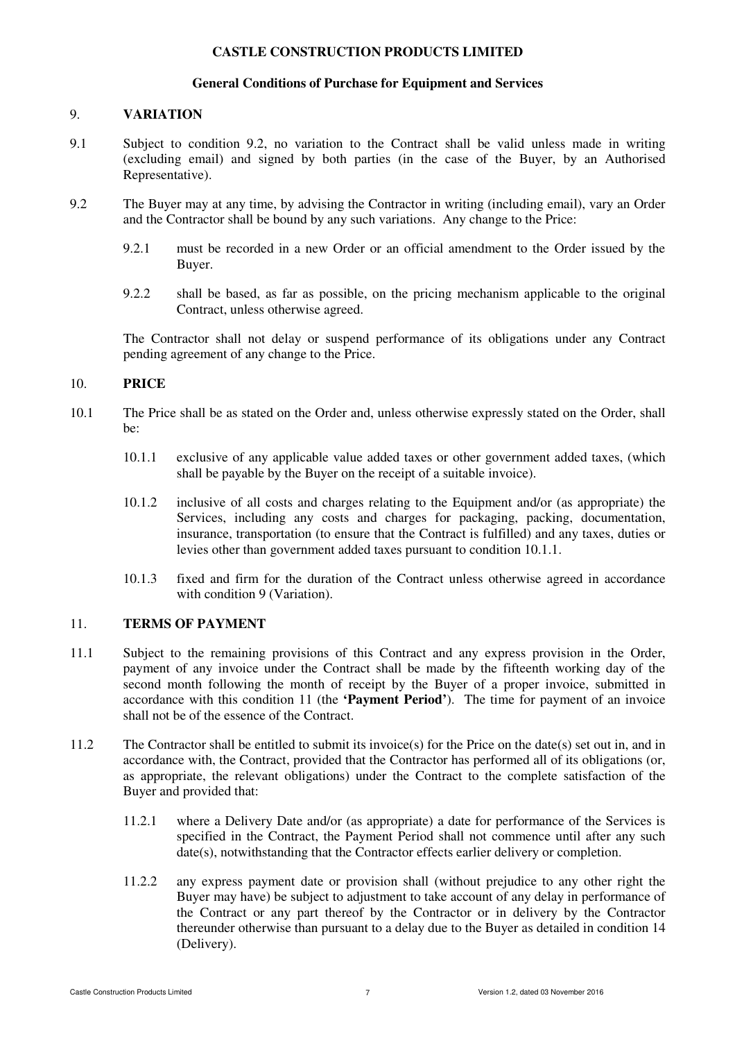# **General Conditions of Purchase for Equipment and Services**

## 9. **VARIATION**

- 9.1 Subject to condition 9.2, no variation to the Contract shall be valid unless made in writing (excluding email) and signed by both parties (in the case of the Buyer, by an Authorised Representative).
- 9.2 The Buyer may at any time, by advising the Contractor in writing (including email), vary an Order and the Contractor shall be bound by any such variations. Any change to the Price:
	- 9.2.1 must be recorded in a new Order or an official amendment to the Order issued by the Buyer.
	- 9.2.2 shall be based, as far as possible, on the pricing mechanism applicable to the original Contract, unless otherwise agreed.

The Contractor shall not delay or suspend performance of its obligations under any Contract pending agreement of any change to the Price.

# 10. **PRICE**

- 10.1 The Price shall be as stated on the Order and, unless otherwise expressly stated on the Order, shall be:
	- 10.1.1 exclusive of any applicable value added taxes or other government added taxes, (which shall be payable by the Buyer on the receipt of a suitable invoice).
	- 10.1.2 inclusive of all costs and charges relating to the Equipment and/or (as appropriate) the Services, including any costs and charges for packaging, packing, documentation, insurance, transportation (to ensure that the Contract is fulfilled) and any taxes, duties or levies other than government added taxes pursuant to condition 10.1.1.
	- 10.1.3 fixed and firm for the duration of the Contract unless otherwise agreed in accordance with condition 9 (Variation).

## 11. **TERMS OF PAYMENT**

- 11.1 Subject to the remaining provisions of this Contract and any express provision in the Order, payment of any invoice under the Contract shall be made by the fifteenth working day of the second month following the month of receipt by the Buyer of a proper invoice, submitted in accordance with this condition 11 (the **'Payment Period'**). The time for payment of an invoice shall not be of the essence of the Contract.
- 11.2 The Contractor shall be entitled to submit its invoice(s) for the Price on the date(s) set out in, and in accordance with, the Contract, provided that the Contractor has performed all of its obligations (or, as appropriate, the relevant obligations) under the Contract to the complete satisfaction of the Buyer and provided that:
	- 11.2.1 where a Delivery Date and/or (as appropriate) a date for performance of the Services is specified in the Contract, the Payment Period shall not commence until after any such date(s), notwithstanding that the Contractor effects earlier delivery or completion.
	- 11.2.2 any express payment date or provision shall (without prejudice to any other right the Buyer may have) be subject to adjustment to take account of any delay in performance of the Contract or any part thereof by the Contractor or in delivery by the Contractor thereunder otherwise than pursuant to a delay due to the Buyer as detailed in condition 14 (Delivery).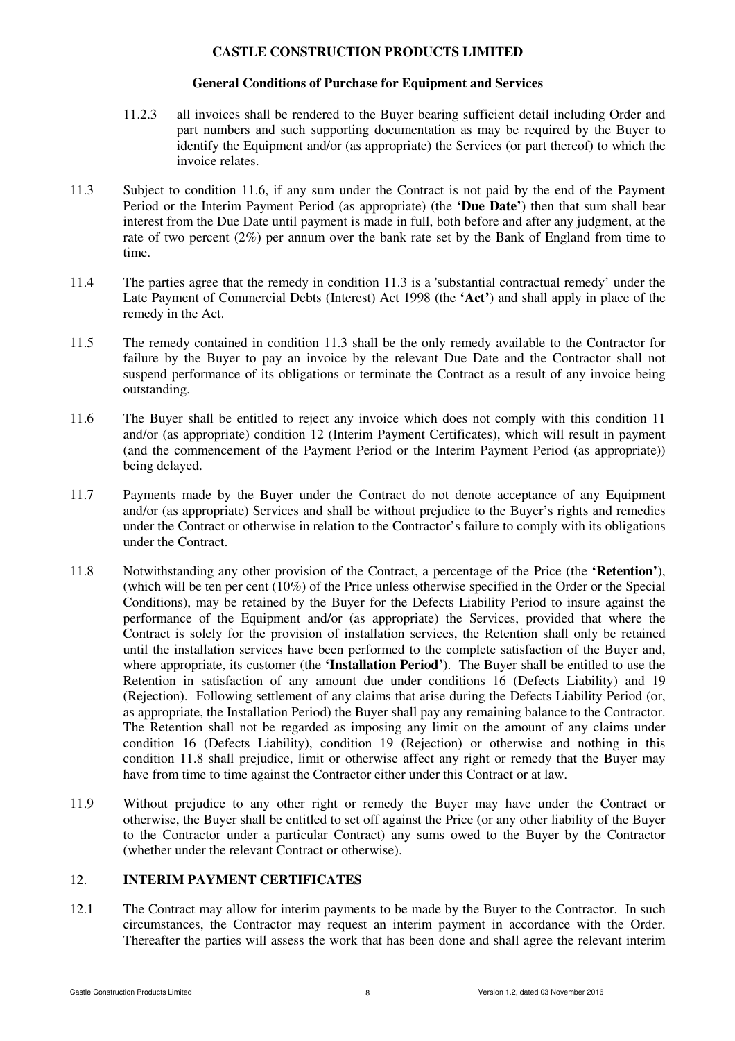## **General Conditions of Purchase for Equipment and Services**

- 11.2.3 all invoices shall be rendered to the Buyer bearing sufficient detail including Order and part numbers and such supporting documentation as may be required by the Buyer to identify the Equipment and/or (as appropriate) the Services (or part thereof) to which the invoice relates.
- 11.3 Subject to condition 11.6, if any sum under the Contract is not paid by the end of the Payment Period or the Interim Payment Period (as appropriate) (the **'Due Date'**) then that sum shall bear interest from the Due Date until payment is made in full, both before and after any judgment, at the rate of two percent (2%) per annum over the bank rate set by the Bank of England from time to time.
- 11.4 The parties agree that the remedy in condition 11.3 is a 'substantial contractual remedy' under the Late Payment of Commercial Debts (Interest) Act 1998 (the **'Act'**) and shall apply in place of the remedy in the Act.
- 11.5 The remedy contained in condition 11.3 shall be the only remedy available to the Contractor for failure by the Buyer to pay an invoice by the relevant Due Date and the Contractor shall not suspend performance of its obligations or terminate the Contract as a result of any invoice being outstanding.
- 11.6 The Buyer shall be entitled to reject any invoice which does not comply with this condition 11 and/or (as appropriate) condition 12 (Interim Payment Certificates), which will result in payment (and the commencement of the Payment Period or the Interim Payment Period (as appropriate)) being delayed.
- 11.7 Payments made by the Buyer under the Contract do not denote acceptance of any Equipment and/or (as appropriate) Services and shall be without prejudice to the Buyer's rights and remedies under the Contract or otherwise in relation to the Contractor's failure to comply with its obligations under the Contract.
- 11.8 Notwithstanding any other provision of the Contract, a percentage of the Price (the **'Retention'**), (which will be ten per cent (10%) of the Price unless otherwise specified in the Order or the Special Conditions), may be retained by the Buyer for the Defects Liability Period to insure against the performance of the Equipment and/or (as appropriate) the Services, provided that where the Contract is solely for the provision of installation services, the Retention shall only be retained until the installation services have been performed to the complete satisfaction of the Buyer and, where appropriate, its customer (the **'Installation Period'**). The Buyer shall be entitled to use the Retention in satisfaction of any amount due under conditions 16 (Defects Liability) and 19 (Rejection). Following settlement of any claims that arise during the Defects Liability Period (or, as appropriate, the Installation Period) the Buyer shall pay any remaining balance to the Contractor. The Retention shall not be regarded as imposing any limit on the amount of any claims under condition 16 (Defects Liability), condition 19 (Rejection) or otherwise and nothing in this condition 11.8 shall prejudice, limit or otherwise affect any right or remedy that the Buyer may have from time to time against the Contractor either under this Contract or at law.
- 11.9 Without prejudice to any other right or remedy the Buyer may have under the Contract or otherwise, the Buyer shall be entitled to set off against the Price (or any other liability of the Buyer to the Contractor under a particular Contract) any sums owed to the Buyer by the Contractor (whether under the relevant Contract or otherwise).

# 12. **INTERIM PAYMENT CERTIFICATES**

12.1 The Contract may allow for interim payments to be made by the Buyer to the Contractor. In such circumstances, the Contractor may request an interim payment in accordance with the Order. Thereafter the parties will assess the work that has been done and shall agree the relevant interim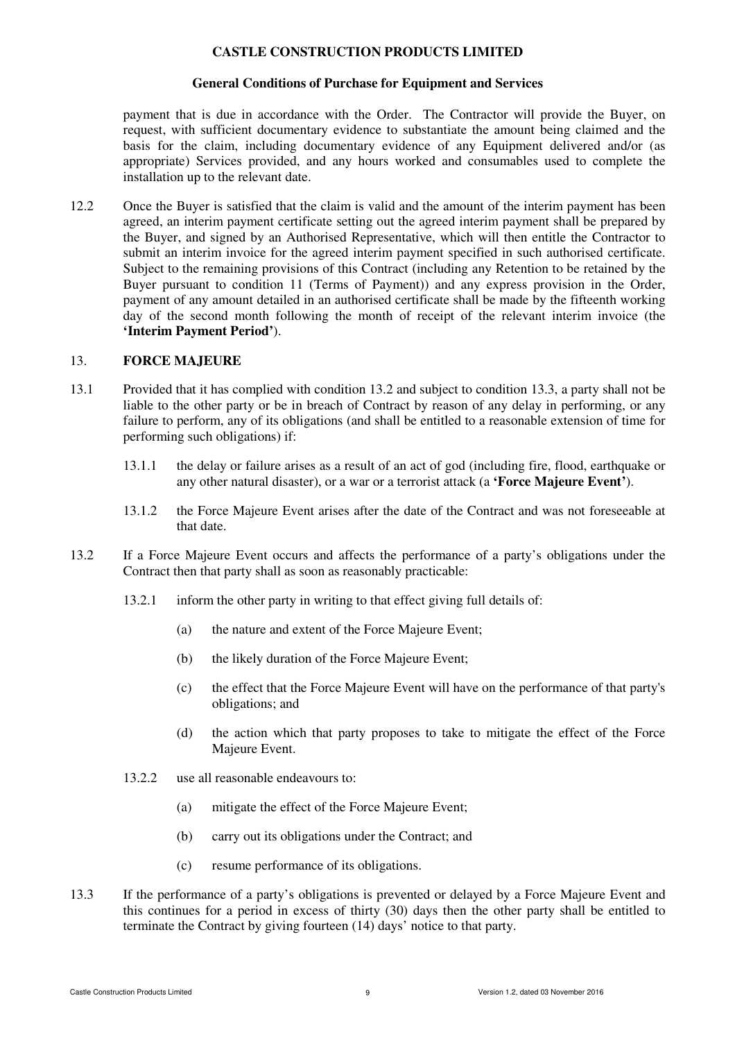### **General Conditions of Purchase for Equipment and Services**

payment that is due in accordance with the Order. The Contractor will provide the Buyer, on request, with sufficient documentary evidence to substantiate the amount being claimed and the basis for the claim, including documentary evidence of any Equipment delivered and/or (as appropriate) Services provided, and any hours worked and consumables used to complete the installation up to the relevant date.

12.2 Once the Buyer is satisfied that the claim is valid and the amount of the interim payment has been agreed, an interim payment certificate setting out the agreed interim payment shall be prepared by the Buyer, and signed by an Authorised Representative, which will then entitle the Contractor to submit an interim invoice for the agreed interim payment specified in such authorised certificate. Subject to the remaining provisions of this Contract (including any Retention to be retained by the Buyer pursuant to condition 11 (Terms of Payment)) and any express provision in the Order, payment of any amount detailed in an authorised certificate shall be made by the fifteenth working day of the second month following the month of receipt of the relevant interim invoice (the **'Interim Payment Period'**).

## 13. **FORCE MAJEURE**

- 13.1 Provided that it has complied with condition 13.2 and subject to condition 13.3, a party shall not be liable to the other party or be in breach of Contract by reason of any delay in performing, or any failure to perform, any of its obligations (and shall be entitled to a reasonable extension of time for performing such obligations) if:
	- 13.1.1 the delay or failure arises as a result of an act of god (including fire, flood, earthquake or any other natural disaster), or a war or a terrorist attack (a **'Force Majeure Event'**).
	- 13.1.2 the Force Majeure Event arises after the date of the Contract and was not foreseeable at that date.
- 13.2 If a Force Majeure Event occurs and affects the performance of a party's obligations under the Contract then that party shall as soon as reasonably practicable:
	- 13.2.1 inform the other party in writing to that effect giving full details of:
		- (a) the nature and extent of the Force Majeure Event;
		- (b) the likely duration of the Force Majeure Event;
		- (c) the effect that the Force Majeure Event will have on the performance of that party's obligations; and
		- (d) the action which that party proposes to take to mitigate the effect of the Force Majeure Event.
	- 13.2.2 use all reasonable endeavours to:
		- (a) mitigate the effect of the Force Majeure Event;
		- (b) carry out its obligations under the Contract; and
		- (c) resume performance of its obligations.
- 13.3 If the performance of a party's obligations is prevented or delayed by a Force Majeure Event and this continues for a period in excess of thirty (30) days then the other party shall be entitled to terminate the Contract by giving fourteen (14) days' notice to that party.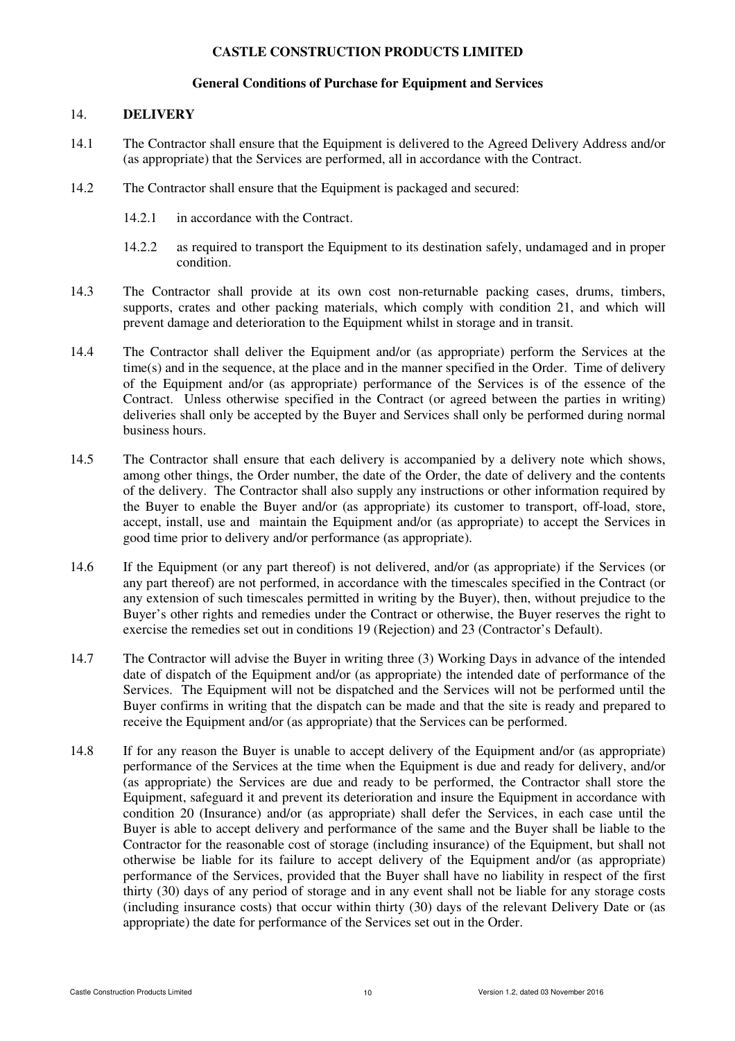#### **General Conditions of Purchase for Equipment and Services**

#### 14. **DELIVERY**

- 14.1 The Contractor shall ensure that the Equipment is delivered to the Agreed Delivery Address and/or (as appropriate) that the Services are performed, all in accordance with the Contract.
- 14.2 The Contractor shall ensure that the Equipment is packaged and secured:
	- 14.2.1 in accordance with the Contract.
	- 14.2.2 as required to transport the Equipment to its destination safely, undamaged and in proper condition.
- 14.3 The Contractor shall provide at its own cost non-returnable packing cases, drums, timbers, supports, crates and other packing materials, which comply with condition 21, and which will prevent damage and deterioration to the Equipment whilst in storage and in transit.
- 14.4 The Contractor shall deliver the Equipment and/or (as appropriate) perform the Services at the time(s) and in the sequence, at the place and in the manner specified in the Order. Time of delivery of the Equipment and/or (as appropriate) performance of the Services is of the essence of the Contract. Unless otherwise specified in the Contract (or agreed between the parties in writing) deliveries shall only be accepted by the Buyer and Services shall only be performed during normal business hours.
- 14.5 The Contractor shall ensure that each delivery is accompanied by a delivery note which shows, among other things, the Order number, the date of the Order, the date of delivery and the contents of the delivery. The Contractor shall also supply any instructions or other information required by the Buyer to enable the Buyer and/or (as appropriate) its customer to transport, off-load, store, accept, install, use and maintain the Equipment and/or (as appropriate) to accept the Services in good time prior to delivery and/or performance (as appropriate).
- 14.6 If the Equipment (or any part thereof) is not delivered, and/or (as appropriate) if the Services (or any part thereof) are not performed, in accordance with the timescales specified in the Contract (or any extension of such timescales permitted in writing by the Buyer), then, without prejudice to the Buyer's other rights and remedies under the Contract or otherwise, the Buyer reserves the right to exercise the remedies set out in conditions 19 (Rejection) and 23 (Contractor's Default).
- 14.7 The Contractor will advise the Buyer in writing three (3) Working Days in advance of the intended date of dispatch of the Equipment and/or (as appropriate) the intended date of performance of the Services. The Equipment will not be dispatched and the Services will not be performed until the Buyer confirms in writing that the dispatch can be made and that the site is ready and prepared to receive the Equipment and/or (as appropriate) that the Services can be performed.
- 14.8 If for any reason the Buyer is unable to accept delivery of the Equipment and/or (as appropriate) performance of the Services at the time when the Equipment is due and ready for delivery, and/or (as appropriate) the Services are due and ready to be performed, the Contractor shall store the Equipment, safeguard it and prevent its deterioration and insure the Equipment in accordance with condition 20 (Insurance) and/or (as appropriate) shall defer the Services, in each case until the Buyer is able to accept delivery and performance of the same and the Buyer shall be liable to the Contractor for the reasonable cost of storage (including insurance) of the Equipment, but shall not otherwise be liable for its failure to accept delivery of the Equipment and/or (as appropriate) performance of the Services, provided that the Buyer shall have no liability in respect of the first thirty (30) days of any period of storage and in any event shall not be liable for any storage costs (including insurance costs) that occur within thirty (30) days of the relevant Delivery Date or (as appropriate) the date for performance of the Services set out in the Order.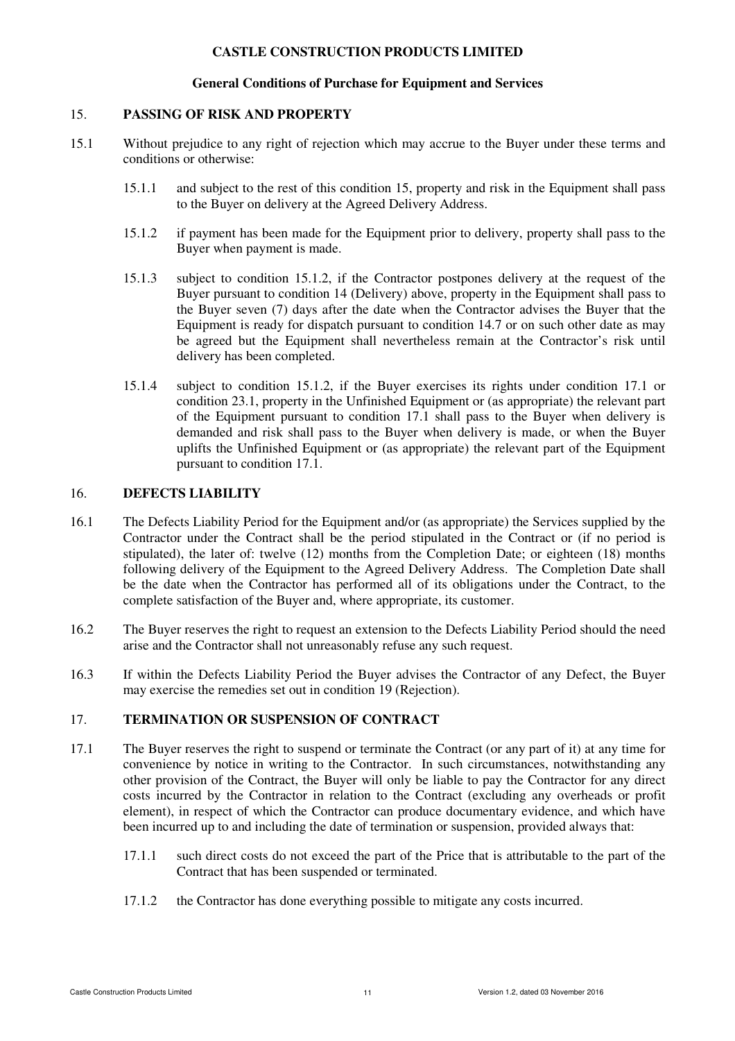#### **General Conditions of Purchase for Equipment and Services**

#### 15. **PASSING OF RISK AND PROPERTY**

- 15.1 Without prejudice to any right of rejection which may accrue to the Buyer under these terms and conditions or otherwise:
	- 15.1.1 and subject to the rest of this condition 15, property and risk in the Equipment shall pass to the Buyer on delivery at the Agreed Delivery Address.
	- 15.1.2 if payment has been made for the Equipment prior to delivery, property shall pass to the Buyer when payment is made.
	- 15.1.3 subject to condition 15.1.2, if the Contractor postpones delivery at the request of the Buyer pursuant to condition 14 (Delivery) above, property in the Equipment shall pass to the Buyer seven (7) days after the date when the Contractor advises the Buyer that the Equipment is ready for dispatch pursuant to condition 14.7 or on such other date as may be agreed but the Equipment shall nevertheless remain at the Contractor's risk until delivery has been completed.
	- 15.1.4 subject to condition 15.1.2, if the Buyer exercises its rights under condition 17.1 or condition 23.1, property in the Unfinished Equipment or (as appropriate) the relevant part of the Equipment pursuant to condition 17.1 shall pass to the Buyer when delivery is demanded and risk shall pass to the Buyer when delivery is made, or when the Buyer uplifts the Unfinished Equipment or (as appropriate) the relevant part of the Equipment pursuant to condition 17.1.

#### 16. **DEFECTS LIABILITY**

- 16.1 The Defects Liability Period for the Equipment and/or (as appropriate) the Services supplied by the Contractor under the Contract shall be the period stipulated in the Contract or (if no period is stipulated), the later of: twelve (12) months from the Completion Date; or eighteen (18) months following delivery of the Equipment to the Agreed Delivery Address. The Completion Date shall be the date when the Contractor has performed all of its obligations under the Contract, to the complete satisfaction of the Buyer and, where appropriate, its customer.
- 16.2 The Buyer reserves the right to request an extension to the Defects Liability Period should the need arise and the Contractor shall not unreasonably refuse any such request.
- 16.3 If within the Defects Liability Period the Buyer advises the Contractor of any Defect, the Buyer may exercise the remedies set out in condition 19 (Rejection).

## 17. **TERMINATION OR SUSPENSION OF CONTRACT**

- 17.1 The Buyer reserves the right to suspend or terminate the Contract (or any part of it) at any time for convenience by notice in writing to the Contractor. In such circumstances, notwithstanding any other provision of the Contract, the Buyer will only be liable to pay the Contractor for any direct costs incurred by the Contractor in relation to the Contract (excluding any overheads or profit element), in respect of which the Contractor can produce documentary evidence, and which have been incurred up to and including the date of termination or suspension, provided always that:
	- 17.1.1 such direct costs do not exceed the part of the Price that is attributable to the part of the Contract that has been suspended or terminated.
	- 17.1.2 the Contractor has done everything possible to mitigate any costs incurred.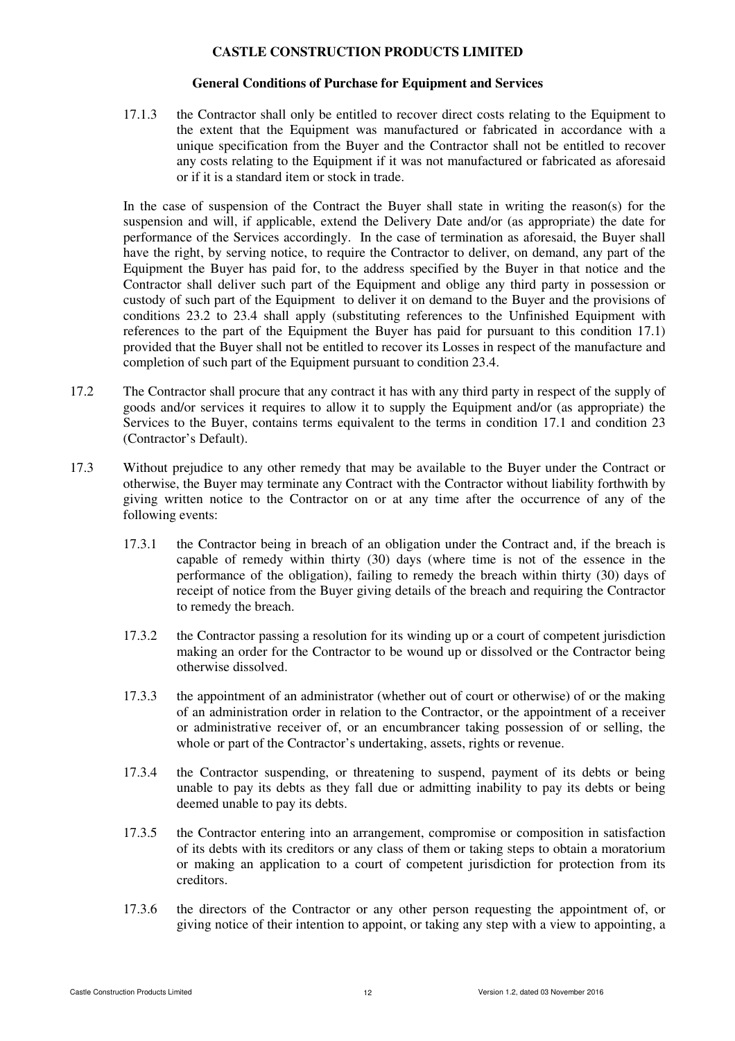#### **General Conditions of Purchase for Equipment and Services**

17.1.3 the Contractor shall only be entitled to recover direct costs relating to the Equipment to the extent that the Equipment was manufactured or fabricated in accordance with a unique specification from the Buyer and the Contractor shall not be entitled to recover any costs relating to the Equipment if it was not manufactured or fabricated as aforesaid or if it is a standard item or stock in trade.

In the case of suspension of the Contract the Buyer shall state in writing the reason(s) for the suspension and will, if applicable, extend the Delivery Date and/or (as appropriate) the date for performance of the Services accordingly. In the case of termination as aforesaid, the Buyer shall have the right, by serving notice, to require the Contractor to deliver, on demand, any part of the Equipment the Buyer has paid for, to the address specified by the Buyer in that notice and the Contractor shall deliver such part of the Equipment and oblige any third party in possession or custody of such part of the Equipment to deliver it on demand to the Buyer and the provisions of conditions 23.2 to 23.4 shall apply (substituting references to the Unfinished Equipment with references to the part of the Equipment the Buyer has paid for pursuant to this condition 17.1) provided that the Buyer shall not be entitled to recover its Losses in respect of the manufacture and completion of such part of the Equipment pursuant to condition 23.4.

- 17.2 The Contractor shall procure that any contract it has with any third party in respect of the supply of goods and/or services it requires to allow it to supply the Equipment and/or (as appropriate) the Services to the Buyer, contains terms equivalent to the terms in condition 17.1 and condition 23 (Contractor's Default).
- 17.3 Without prejudice to any other remedy that may be available to the Buyer under the Contract or otherwise, the Buyer may terminate any Contract with the Contractor without liability forthwith by giving written notice to the Contractor on or at any time after the occurrence of any of the following events:
	- 17.3.1 the Contractor being in breach of an obligation under the Contract and, if the breach is capable of remedy within thirty (30) days (where time is not of the essence in the performance of the obligation), failing to remedy the breach within thirty (30) days of receipt of notice from the Buyer giving details of the breach and requiring the Contractor to remedy the breach.
	- 17.3.2 the Contractor passing a resolution for its winding up or a court of competent jurisdiction making an order for the Contractor to be wound up or dissolved or the Contractor being otherwise dissolved.
	- 17.3.3 the appointment of an administrator (whether out of court or otherwise) of or the making of an administration order in relation to the Contractor, or the appointment of a receiver or administrative receiver of, or an encumbrancer taking possession of or selling, the whole or part of the Contractor's undertaking, assets, rights or revenue.
	- 17.3.4 the Contractor suspending, or threatening to suspend, payment of its debts or being unable to pay its debts as they fall due or admitting inability to pay its debts or being deemed unable to pay its debts.
	- 17.3.5 the Contractor entering into an arrangement, compromise or composition in satisfaction of its debts with its creditors or any class of them or taking steps to obtain a moratorium or making an application to a court of competent jurisdiction for protection from its creditors.
	- 17.3.6 the directors of the Contractor or any other person requesting the appointment of, or giving notice of their intention to appoint, or taking any step with a view to appointing, a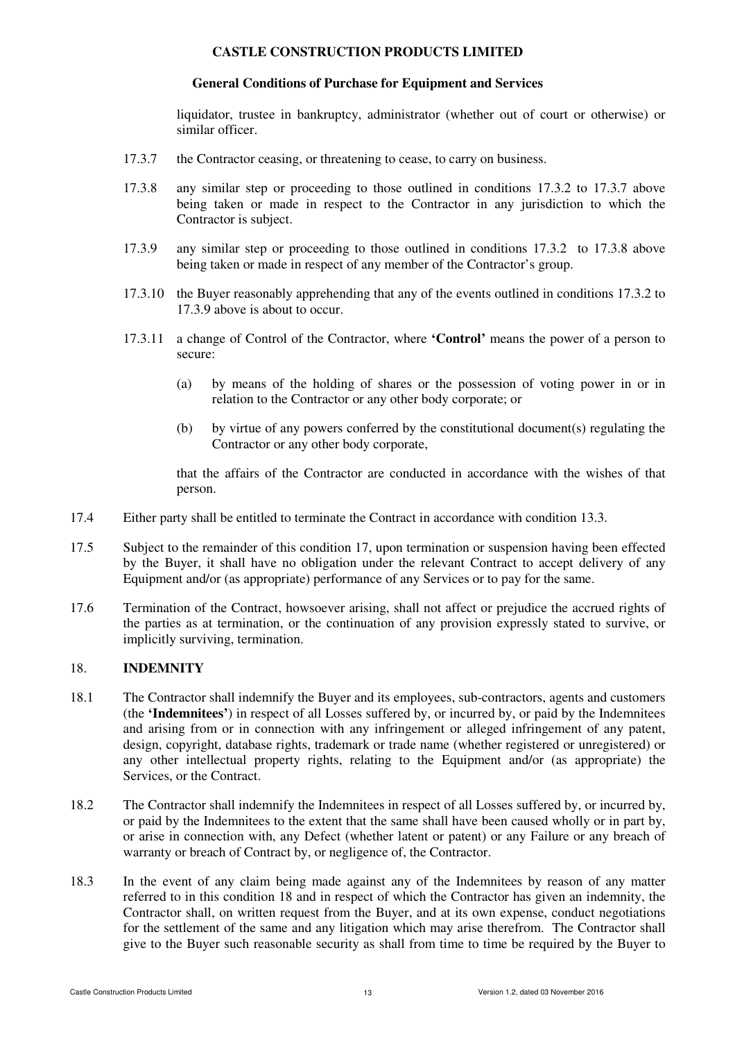## **General Conditions of Purchase for Equipment and Services**

liquidator, trustee in bankruptcy, administrator (whether out of court or otherwise) or similar officer.

- 17.3.7 the Contractor ceasing, or threatening to cease, to carry on business.
- 17.3.8 any similar step or proceeding to those outlined in conditions 17.3.2 to 17.3.7 above being taken or made in respect to the Contractor in any jurisdiction to which the Contractor is subject.
- 17.3.9 any similar step or proceeding to those outlined in conditions 17.3.2 to 17.3.8 above being taken or made in respect of any member of the Contractor's group.
- 17.3.10 the Buyer reasonably apprehending that any of the events outlined in conditions 17.3.2 to 17.3.9 above is about to occur.
- 17.3.11 a change of Control of the Contractor, where **'Control'** means the power of a person to secure:
	- (a) by means of the holding of shares or the possession of voting power in or in relation to the Contractor or any other body corporate; or
	- (b) by virtue of any powers conferred by the constitutional document(s) regulating the Contractor or any other body corporate,

that the affairs of the Contractor are conducted in accordance with the wishes of that person.

- 17.4 Either party shall be entitled to terminate the Contract in accordance with condition 13.3.
- 17.5 Subject to the remainder of this condition 17, upon termination or suspension having been effected by the Buyer, it shall have no obligation under the relevant Contract to accept delivery of any Equipment and/or (as appropriate) performance of any Services or to pay for the same.
- 17.6 Termination of the Contract, howsoever arising, shall not affect or prejudice the accrued rights of the parties as at termination, or the continuation of any provision expressly stated to survive, or implicitly surviving, termination.

## 18. **INDEMNITY**

- 18.1 The Contractor shall indemnify the Buyer and its employees, sub-contractors, agents and customers (the **'Indemnitees'**) in respect of all Losses suffered by, or incurred by, or paid by the Indemnitees and arising from or in connection with any infringement or alleged infringement of any patent, design, copyright, database rights, trademark or trade name (whether registered or unregistered) or any other intellectual property rights, relating to the Equipment and/or (as appropriate) the Services, or the Contract.
- 18.2 The Contractor shall indemnify the Indemnitees in respect of all Losses suffered by, or incurred by, or paid by the Indemnitees to the extent that the same shall have been caused wholly or in part by, or arise in connection with, any Defect (whether latent or patent) or any Failure or any breach of warranty or breach of Contract by, or negligence of, the Contractor.
- 18.3 In the event of any claim being made against any of the Indemnitees by reason of any matter referred to in this condition 18 and in respect of which the Contractor has given an indemnity, the Contractor shall, on written request from the Buyer, and at its own expense, conduct negotiations for the settlement of the same and any litigation which may arise therefrom. The Contractor shall give to the Buyer such reasonable security as shall from time to time be required by the Buyer to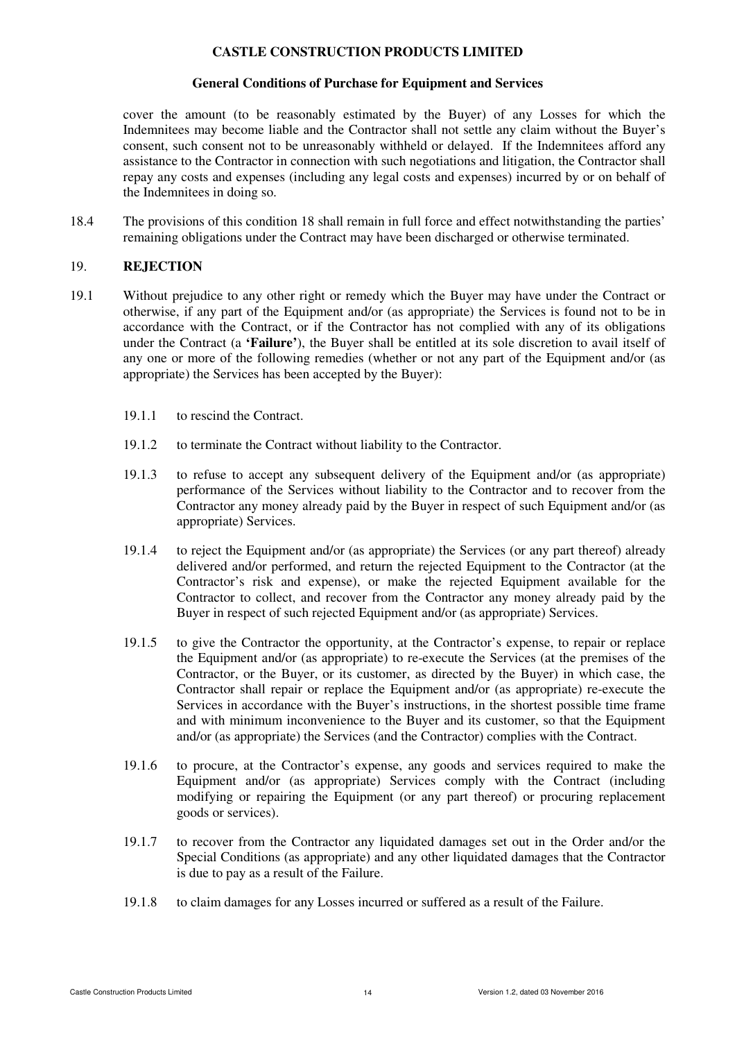### **General Conditions of Purchase for Equipment and Services**

cover the amount (to be reasonably estimated by the Buyer) of any Losses for which the Indemnitees may become liable and the Contractor shall not settle any claim without the Buyer's consent, such consent not to be unreasonably withheld or delayed. If the Indemnitees afford any assistance to the Contractor in connection with such negotiations and litigation, the Contractor shall repay any costs and expenses (including any legal costs and expenses) incurred by or on behalf of the Indemnitees in doing so.

18.4 The provisions of this condition 18 shall remain in full force and effect notwithstanding the parties' remaining obligations under the Contract may have been discharged or otherwise terminated.

### 19. **REJECTION**

- 19.1 Without prejudice to any other right or remedy which the Buyer may have under the Contract or otherwise, if any part of the Equipment and/or (as appropriate) the Services is found not to be in accordance with the Contract, or if the Contractor has not complied with any of its obligations under the Contract (a **'Failure'**), the Buyer shall be entitled at its sole discretion to avail itself of any one or more of the following remedies (whether or not any part of the Equipment and/or (as appropriate) the Services has been accepted by the Buyer):
	- 19.1.1 to rescind the Contract.
	- 19.1.2 to terminate the Contract without liability to the Contractor.
	- 19.1.3 to refuse to accept any subsequent delivery of the Equipment and/or (as appropriate) performance of the Services without liability to the Contractor and to recover from the Contractor any money already paid by the Buyer in respect of such Equipment and/or (as appropriate) Services.
	- 19.1.4 to reject the Equipment and/or (as appropriate) the Services (or any part thereof) already delivered and/or performed, and return the rejected Equipment to the Contractor (at the Contractor's risk and expense), or make the rejected Equipment available for the Contractor to collect, and recover from the Contractor any money already paid by the Buyer in respect of such rejected Equipment and/or (as appropriate) Services.
	- 19.1.5 to give the Contractor the opportunity, at the Contractor's expense, to repair or replace the Equipment and/or (as appropriate) to re-execute the Services (at the premises of the Contractor, or the Buyer, or its customer, as directed by the Buyer) in which case, the Contractor shall repair or replace the Equipment and/or (as appropriate) re-execute the Services in accordance with the Buyer's instructions, in the shortest possible time frame and with minimum inconvenience to the Buyer and its customer, so that the Equipment and/or (as appropriate) the Services (and the Contractor) complies with the Contract.
	- 19.1.6 to procure, at the Contractor's expense, any goods and services required to make the Equipment and/or (as appropriate) Services comply with the Contract (including modifying or repairing the Equipment (or any part thereof) or procuring replacement goods or services).
	- 19.1.7 to recover from the Contractor any liquidated damages set out in the Order and/or the Special Conditions (as appropriate) and any other liquidated damages that the Contractor is due to pay as a result of the Failure.
	- 19.1.8 to claim damages for any Losses incurred or suffered as a result of the Failure.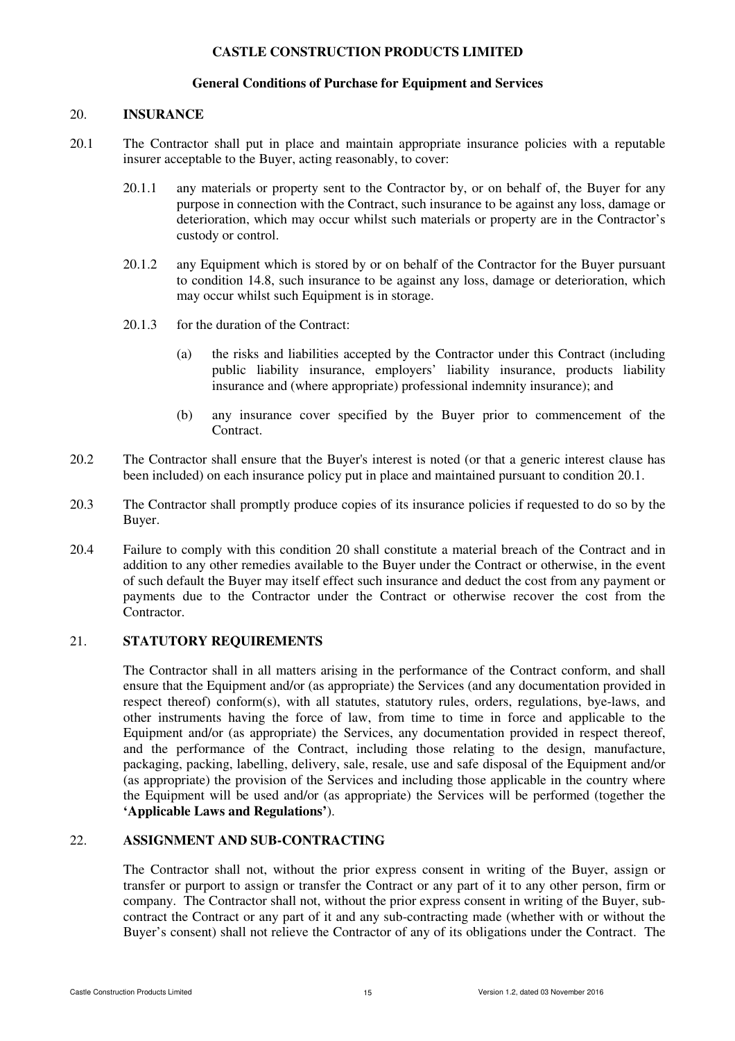# **General Conditions of Purchase for Equipment and Services**

### 20. **INSURANCE**

- 20.1 The Contractor shall put in place and maintain appropriate insurance policies with a reputable insurer acceptable to the Buyer, acting reasonably, to cover:
	- 20.1.1 any materials or property sent to the Contractor by, or on behalf of, the Buyer for any purpose in connection with the Contract, such insurance to be against any loss, damage or deterioration, which may occur whilst such materials or property are in the Contractor's custody or control.
	- 20.1.2 any Equipment which is stored by or on behalf of the Contractor for the Buyer pursuant to condition 14.8, such insurance to be against any loss, damage or deterioration, which may occur whilst such Equipment is in storage.
	- 20.1.3 for the duration of the Contract:
		- (a) the risks and liabilities accepted by the Contractor under this Contract (including public liability insurance, employers' liability insurance, products liability insurance and (where appropriate) professional indemnity insurance); and
		- (b) any insurance cover specified by the Buyer prior to commencement of the Contract.
- 20.2 The Contractor shall ensure that the Buyer's interest is noted (or that a generic interest clause has been included) on each insurance policy put in place and maintained pursuant to condition 20.1.
- 20.3 The Contractor shall promptly produce copies of its insurance policies if requested to do so by the Buyer.
- 20.4 Failure to comply with this condition 20 shall constitute a material breach of the Contract and in addition to any other remedies available to the Buyer under the Contract or otherwise, in the event of such default the Buyer may itself effect such insurance and deduct the cost from any payment or payments due to the Contractor under the Contract or otherwise recover the cost from the **Contractor**

## 21. **STATUTORY REQUIREMENTS**

The Contractor shall in all matters arising in the performance of the Contract conform, and shall ensure that the Equipment and/or (as appropriate) the Services (and any documentation provided in respect thereof) conform(s), with all statutes, statutory rules, orders, regulations, bye-laws, and other instruments having the force of law, from time to time in force and applicable to the Equipment and/or (as appropriate) the Services, any documentation provided in respect thereof, and the performance of the Contract, including those relating to the design, manufacture, packaging, packing, labelling, delivery, sale, resale, use and safe disposal of the Equipment and/or (as appropriate) the provision of the Services and including those applicable in the country where the Equipment will be used and/or (as appropriate) the Services will be performed (together the **'Applicable Laws and Regulations'**).

### 22. **ASSIGNMENT AND SUB-CONTRACTING**

The Contractor shall not, without the prior express consent in writing of the Buyer, assign or transfer or purport to assign or transfer the Contract or any part of it to any other person, firm or company. The Contractor shall not, without the prior express consent in writing of the Buyer, subcontract the Contract or any part of it and any sub-contracting made (whether with or without the Buyer's consent) shall not relieve the Contractor of any of its obligations under the Contract. The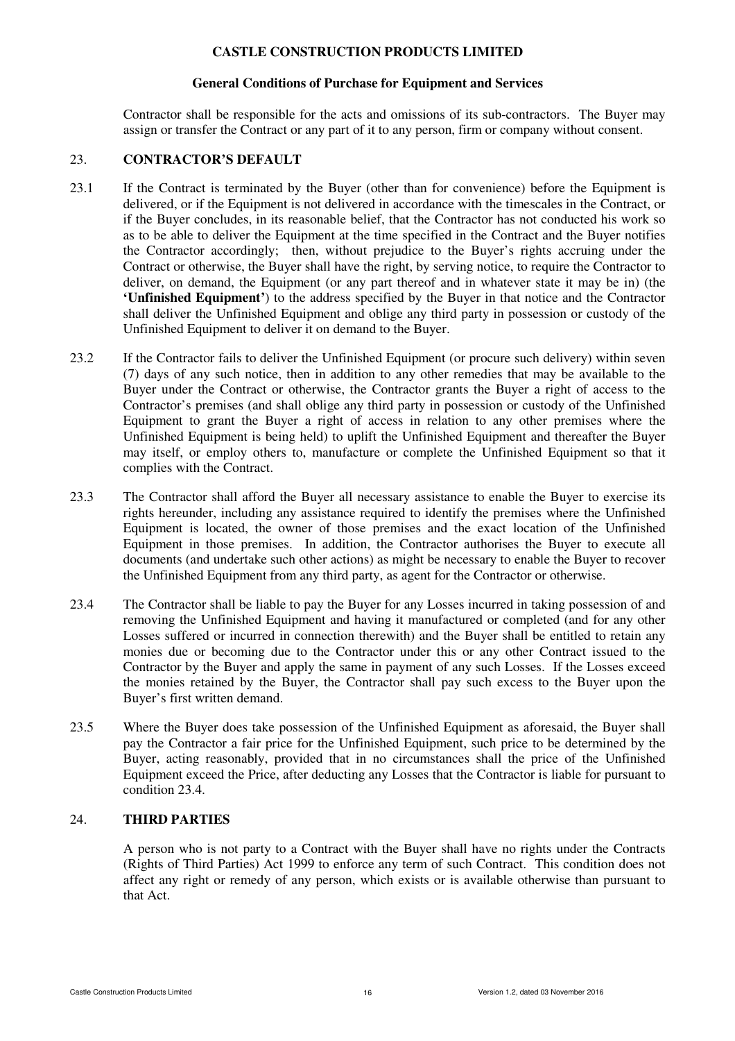### **General Conditions of Purchase for Equipment and Services**

Contractor shall be responsible for the acts and omissions of its sub-contractors. The Buyer may assign or transfer the Contract or any part of it to any person, firm or company without consent.

### 23. **CONTRACTOR'S DEFAULT**

- 23.1 If the Contract is terminated by the Buyer (other than for convenience) before the Equipment is delivered, or if the Equipment is not delivered in accordance with the timescales in the Contract, or if the Buyer concludes, in its reasonable belief, that the Contractor has not conducted his work so as to be able to deliver the Equipment at the time specified in the Contract and the Buyer notifies the Contractor accordingly; then, without prejudice to the Buyer's rights accruing under the Contract or otherwise, the Buyer shall have the right, by serving notice, to require the Contractor to deliver, on demand, the Equipment (or any part thereof and in whatever state it may be in) (the **'Unfinished Equipment'**) to the address specified by the Buyer in that notice and the Contractor shall deliver the Unfinished Equipment and oblige any third party in possession or custody of the Unfinished Equipment to deliver it on demand to the Buyer.
- 23.2 If the Contractor fails to deliver the Unfinished Equipment (or procure such delivery) within seven (7) days of any such notice, then in addition to any other remedies that may be available to the Buyer under the Contract or otherwise, the Contractor grants the Buyer a right of access to the Contractor's premises (and shall oblige any third party in possession or custody of the Unfinished Equipment to grant the Buyer a right of access in relation to any other premises where the Unfinished Equipment is being held) to uplift the Unfinished Equipment and thereafter the Buyer may itself, or employ others to, manufacture or complete the Unfinished Equipment so that it complies with the Contract.
- 23.3 The Contractor shall afford the Buyer all necessary assistance to enable the Buyer to exercise its rights hereunder, including any assistance required to identify the premises where the Unfinished Equipment is located, the owner of those premises and the exact location of the Unfinished Equipment in those premises. In addition, the Contractor authorises the Buyer to execute all documents (and undertake such other actions) as might be necessary to enable the Buyer to recover the Unfinished Equipment from any third party, as agent for the Contractor or otherwise.
- 23.4 The Contractor shall be liable to pay the Buyer for any Losses incurred in taking possession of and removing the Unfinished Equipment and having it manufactured or completed (and for any other Losses suffered or incurred in connection therewith) and the Buyer shall be entitled to retain any monies due or becoming due to the Contractor under this or any other Contract issued to the Contractor by the Buyer and apply the same in payment of any such Losses. If the Losses exceed the monies retained by the Buyer, the Contractor shall pay such excess to the Buyer upon the Buyer's first written demand.
- 23.5 Where the Buyer does take possession of the Unfinished Equipment as aforesaid, the Buyer shall pay the Contractor a fair price for the Unfinished Equipment, such price to be determined by the Buyer, acting reasonably, provided that in no circumstances shall the price of the Unfinished Equipment exceed the Price, after deducting any Losses that the Contractor is liable for pursuant to condition 23.4.

# 24. **THIRD PARTIES**

A person who is not party to a Contract with the Buyer shall have no rights under the Contracts (Rights of Third Parties) Act 1999 to enforce any term of such Contract. This condition does not affect any right or remedy of any person, which exists or is available otherwise than pursuant to that Act.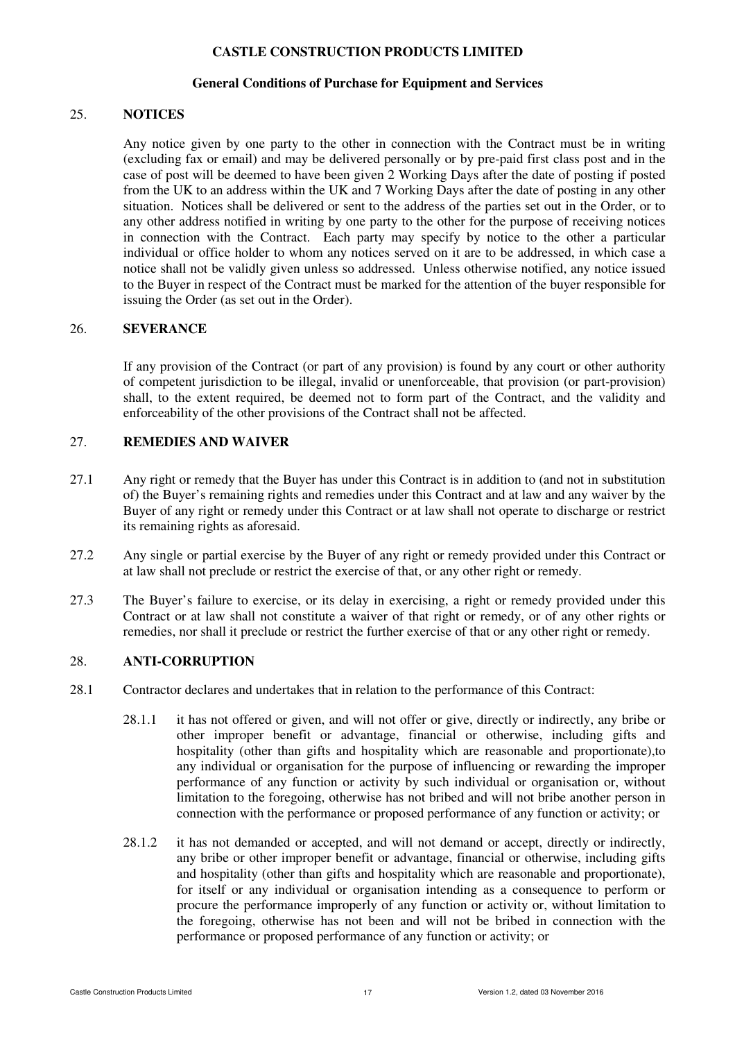#### **General Conditions of Purchase for Equipment and Services**

#### 25. **NOTICES**

Any notice given by one party to the other in connection with the Contract must be in writing (excluding fax or email) and may be delivered personally or by pre-paid first class post and in the case of post will be deemed to have been given 2 Working Days after the date of posting if posted from the UK to an address within the UK and 7 Working Days after the date of posting in any other situation. Notices shall be delivered or sent to the address of the parties set out in the Order, or to any other address notified in writing by one party to the other for the purpose of receiving notices in connection with the Contract. Each party may specify by notice to the other a particular individual or office holder to whom any notices served on it are to be addressed, in which case a notice shall not be validly given unless so addressed. Unless otherwise notified, any notice issued to the Buyer in respect of the Contract must be marked for the attention of the buyer responsible for issuing the Order (as set out in the Order).

## 26. **SEVERANCE**

If any provision of the Contract (or part of any provision) is found by any court or other authority of competent jurisdiction to be illegal, invalid or unenforceable, that provision (or part-provision) shall, to the extent required, be deemed not to form part of the Contract, and the validity and enforceability of the other provisions of the Contract shall not be affected.

#### 27. **REMEDIES AND WAIVER**

- 27.1 Any right or remedy that the Buyer has under this Contract is in addition to (and not in substitution of) the Buyer's remaining rights and remedies under this Contract and at law and any waiver by the Buyer of any right or remedy under this Contract or at law shall not operate to discharge or restrict its remaining rights as aforesaid.
- 27.2 Any single or partial exercise by the Buyer of any right or remedy provided under this Contract or at law shall not preclude or restrict the exercise of that, or any other right or remedy.
- 27.3 The Buyer's failure to exercise, or its delay in exercising, a right or remedy provided under this Contract or at law shall not constitute a waiver of that right or remedy, or of any other rights or remedies, nor shall it preclude or restrict the further exercise of that or any other right or remedy.

# 28. **ANTI-CORRUPTION**

- 28.1 Contractor declares and undertakes that in relation to the performance of this Contract:
	- 28.1.1 it has not offered or given, and will not offer or give, directly or indirectly, any bribe or other improper benefit or advantage, financial or otherwise, including gifts and hospitality (other than gifts and hospitality which are reasonable and proportionate),to any individual or organisation for the purpose of influencing or rewarding the improper performance of any function or activity by such individual or organisation or, without limitation to the foregoing, otherwise has not bribed and will not bribe another person in connection with the performance or proposed performance of any function or activity; or
	- 28.1.2 it has not demanded or accepted, and will not demand or accept, directly or indirectly, any bribe or other improper benefit or advantage, financial or otherwise, including gifts and hospitality (other than gifts and hospitality which are reasonable and proportionate), for itself or any individual or organisation intending as a consequence to perform or procure the performance improperly of any function or activity or, without limitation to the foregoing, otherwise has not been and will not be bribed in connection with the performance or proposed performance of any function or activity; or